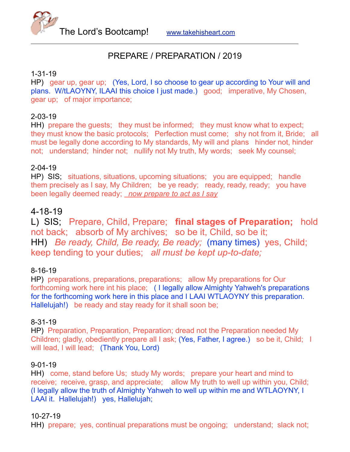The Lord's Bootcamp! [www.takehisheart.com](http://www.takehisheart.com)

# PREPARE / PREPARATION / 2019

## 1-31-19

HP) gear up, gear up; (Yes, Lord, I so choose to gear up according to Your will and plans. W/tLAOYNY, ILAAI this choice I just made.) good; imperative, My Chosen, gear up; of major importance;

## 2-03-19

HH) prepare the guests; they must be informed; they must know what to expect; they must know the basic protocols; Perfection must come; shy not from it, Bride; all must be legally done according to My standards, My will and plans hinder not, hinder not; understand; hinder not; nullify not My truth, My words; seek My counsel;

## 2-04-19

HP) SIS; situations, situations, upcoming situations; you are equipped; handle them precisely as I say, My Children; be ye ready; ready, ready, ready; you have been legally deemed ready; *now prepare to act as I say*

# 4-18-19

L) SIS; Prepare, Child, Prepare; **final stages of Preparation;** hold not back; absorb of My archives; so be it, Child, so be it; HH) *Be ready, Child, Be ready, Be ready;* (many times) yes, Child; keep tending to your duties; *all must be kept up-to-date;* 

#### 8-16-19

HP) preparations, preparations, preparations; allow My preparations for Our forthcoming work here int his place; ( I legally allow Almighty Yahweh's preparations for the forthcoming work here in this place and I LAAI WTLAOYNY this preparation. Hallelujah!) be ready and stay ready for it shall soon be;

#### 8-31-19

HP) Preparation, Preparation, Preparation; dread not the Preparation needed My Children; gladly, obediently prepare all I ask; (Yes, Father, I agree.) so be it, Child; I will lead, I will lead; (Thank You, Lord)

## 9-01-19

HH) come, stand before Us; study My words; prepare your heart and mind to receive; receive, grasp, and appreciate; allow My truth to well up within you, Child; (I legally allow the truth of Almighty Yahweh to well up within me and WTLAOYNY, I LAAI it. Hallelujah!) yes, Hallelujah;

#### 10-27-19

HH) prepare; yes, continual preparations must be ongoing; understand; slack not;